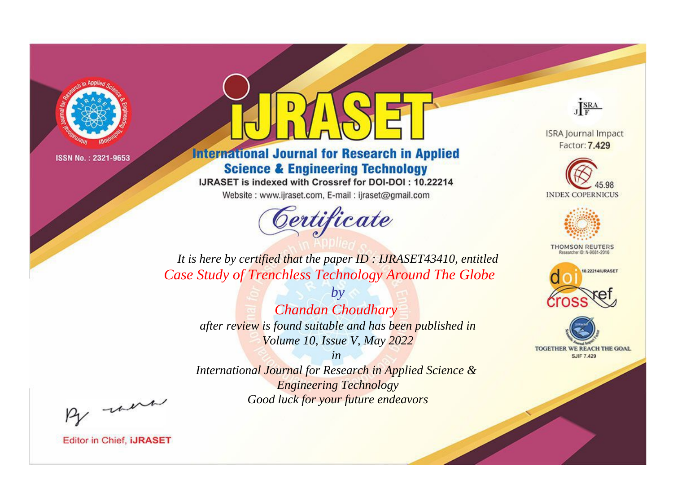

# **International Journal for Research in Applied Science & Engineering Technology**

IJRASET is indexed with Crossref for DOI-DOI: 10.22214

Website: www.ijraset.com, E-mail: ijraset@gmail.com



JERA

**ISRA Journal Impact** Factor: 7.429





**THOMSON REUTERS** 



TOGETHER WE REACH THE GOAL **SJIF 7.429** 

*It is here by certified that the paper ID : IJRASET43410, entitled Case Study of Trenchless Technology Around The Globe*

*by Chandan Choudhary after review is found suitable and has been published in Volume 10, Issue V, May 2022*

*in International Journal for Research in Applied Science &* 

*Engineering Technology Good luck for your future endeavors*

By morn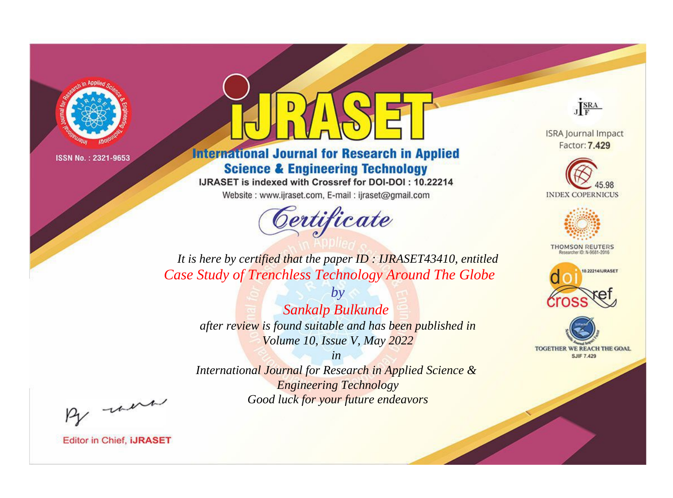

# **International Journal for Research in Applied Science & Engineering Technology**

IJRASET is indexed with Crossref for DOI-DOI: 10.22214

Website: www.ijraset.com, E-mail: ijraset@gmail.com



JERA

**ISRA Journal Impact** Factor: 7.429





**THOMSON REUTERS** 



TOGETHER WE REACH THE GOAL **SJIF 7.429** 

*It is here by certified that the paper ID : IJRASET43410, entitled Case Study of Trenchless Technology Around The Globe*

*by Sankalp Bulkunde after review is found suitable and has been published in Volume 10, Issue V, May 2022*

*in* 

*International Journal for Research in Applied Science & Engineering Technology Good luck for your future endeavors*

By morn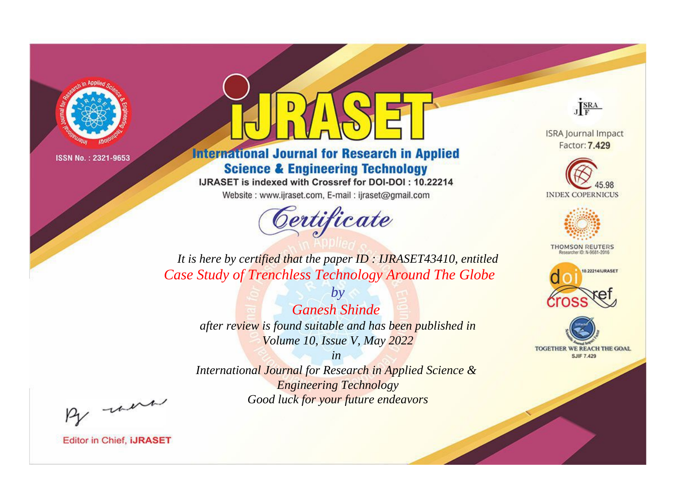

# **International Journal for Research in Applied Science & Engineering Technology**

IJRASET is indexed with Crossref for DOI-DOI: 10.22214

Website: www.ijraset.com, E-mail: ijraset@gmail.com



JERA

**ISRA Journal Impact** Factor: 7.429





**THOMSON REUTERS** 



TOGETHER WE REACH THE GOAL **SJIF 7.429** 

*It is here by certified that the paper ID : IJRASET43410, entitled Case Study of Trenchless Technology Around The Globe*

*by Ganesh Shinde after review is found suitable and has been published in Volume 10, Issue V, May 2022*

*in* 

*International Journal for Research in Applied Science & Engineering Technology Good luck for your future endeavors*

By morn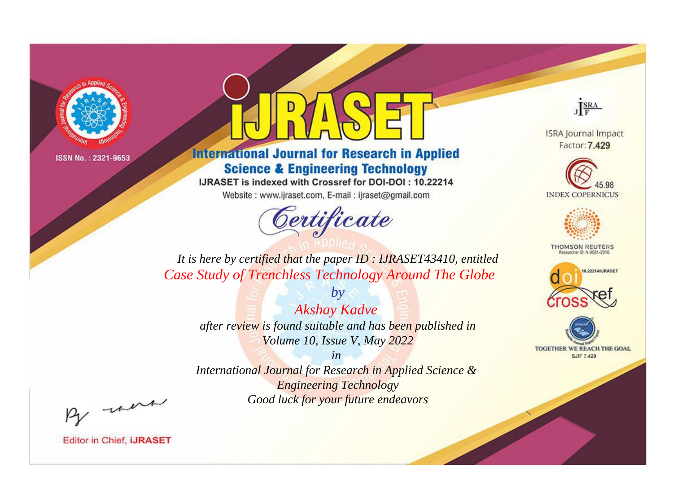

# **International Journal for Research in Applied Science & Engineering Technology**

IJRASET is indexed with Crossref for DOI-DOI: 10.22214

Website: www.ijraset.com, E-mail: ijraset@gmail.com



JERA

**ISRA Journal Impact** Factor: 7.429





**THOMSON REUTERS** 



TOGETHER WE REACH THE GOAL **SJIF 7.429** 

*It is here by certified that the paper ID : IJRASET43410, entitled Case Study of Trenchless Technology Around The Globe*

*by Akshay Kadve after review is found suitable and has been published in Volume 10, Issue V, May 2022*

*in* 

*International Journal for Research in Applied Science & Engineering Technology Good luck for your future endeavors*

By morn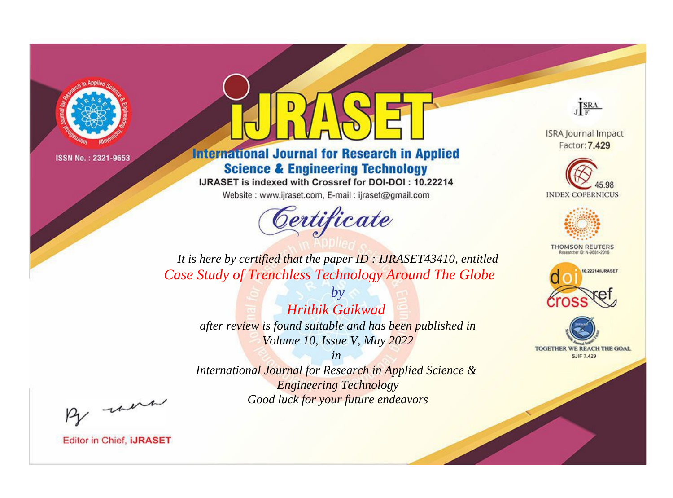

# **International Journal for Research in Applied Science & Engineering Technology**

IJRASET is indexed with Crossref for DOI-DOI: 10.22214

Website: www.ijraset.com, E-mail: ijraset@gmail.com



JERA

**ISRA Journal Impact** Factor: 7.429





**THOMSON REUTERS** 



TOGETHER WE REACH THE GOAL **SJIF 7.429** 

*It is here by certified that the paper ID : IJRASET43410, entitled Case Study of Trenchless Technology Around The Globe*

*by Hrithik Gaikwad after review is found suitable and has been published in Volume 10, Issue V, May 2022*

*in* 

*International Journal for Research in Applied Science & Engineering Technology Good luck for your future endeavors*

By morn